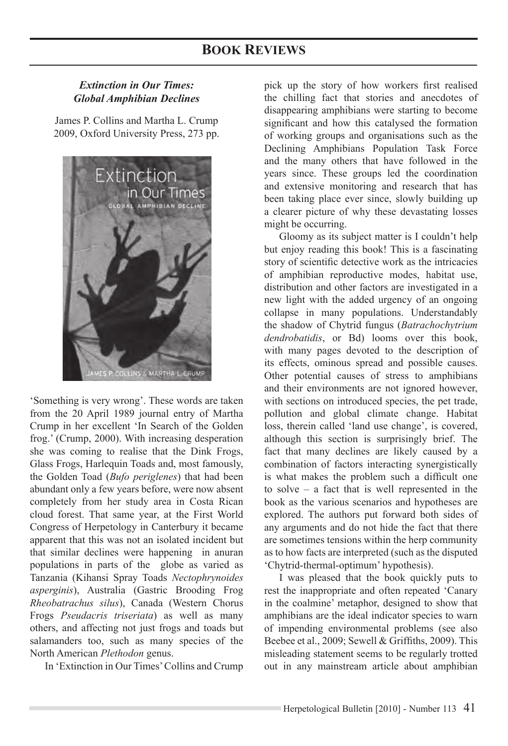# *Extinction in Our Times: Global Amphibian Declines*

James P. Collins and Martha L. Crump 2009, Oxford University Press, 273 pp.



'Something is very wrong'. These words are taken from the 20 April 1989 journal entry of Martha Crump in her excellent 'In Search of the Golden frog.' (Crump, 2000). With increasing desperation she was coming to realise that the Dink Frogs, Glass Frogs, Harlequin Toads and, most famously, the Golden Toad (*Bufo periglenes*) that had been abundant only a few years before, were now absent completely from her study area in Costa Rican cloud forest. That same year, at the First World Congress of Herpetology in Canterbury it became apparent that this was not an isolated incident but that similar declines were happening in anuran populations in parts of the globe as varied as Tanzania (Kihansi Spray Toads *Nectophrynoides asperginis*), Australia (Gastric Brooding Frog *Rheobatrachus silus*), Canada (Western Chorus Frogs *Pseudacris triseriata*) as well as many others, and affecting not just frogs and toads but salamanders too, such as many species of the North American *Plethodon* genus.

In 'Extinction in Our Times' Collins and Crump

pick up the story of how workers first realised the chilling fact that stories and anecdotes of disappearing amphibians were starting to become significant and how this catalysed the formation of working groups and organisations such as the Declining Amphibians Population Task Force and the many others that have followed in the years since. These groups led the coordination and extensive monitoring and research that has been taking place ever since, slowly building up a clearer picture of why these devastating losses might be occurring.

Gloomy as its subject matter is I couldn't help but enjoy reading this book! This is a fascinating story of scientific detective work as the intricacies of amphibian reproductive modes, habitat use, distribution and other factors are investigated in a new light with the added urgency of an ongoing collapse in many populations. Understandably the shadow of Chytrid fungus (Batrachochytrium *dendrobatidis*, or Bd) looms over this book, with many pages devoted to the description of its effects, ominous spread and possible causes. Other potential causes of stress to amphibians and their environments are not ignored however, with sections on introduced species, the pet trade, pollution and global climate change. Habitat loss, therein called 'land use change', is covered, although this section is surprisingly brief. The fact that many declines are likely caused by a combination of factors interacting synergistically is what makes the problem such a difficult one to solve  $-$  a fact that is well represented in the book as the various scenarios and hypotheses are explored. The authors put forward both sides of any arguments and do not hide the fact that there are sometimes tensions within the herp community as to how facts are interpreted (such as the disputed 'Chytrid-thermal-optimum' hypothesis).

I was pleased that the book quickly puts to rest the inappropriate and often repeated 'Canary in the coalmine' metaphor, designed to show that amphibians are the ideal indicator species to warn of impending environmental problems (see also Beebee et al., 2009; Sewell & Griffiths, 2009). This misleading statement seems to be regularly trotted out in any mainstream article about amphibian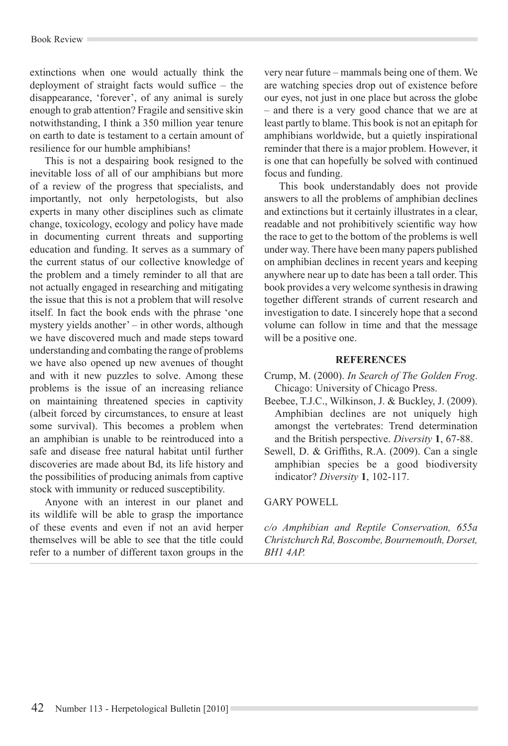#### Book Review

extinctions when one would actually think the deployment of straight facts would suffice  $-$  the disappearance, 'forever', of any animal is surely enough to grab attention? Fragile and sensitive skin notwithstanding, I think a 350 million year tenure on earth to date is testament to a certain amount of resilience for our humble amphibians!

This is not a despairing book resigned to the inevitable loss of all of our amphibians but more of a review of the progress that specialists, and importantly, not only herpetologists, but also experts in many other disciplines such as climate change, toxicology, ecology and policy have made in documenting current threats and supporting education and funding. It serves as a summary of the current status of our collective knowledge of the problem and a timely reminder to all that are not actually engaged in researching and mitigating the issue that this is not a problem that will resolve itself. In fact the book ends with the phrase 'one mystery yields another' – in other words, although we have discovered much and made steps toward understanding and combating the range of problems we have also opened up new avenues of thought and with it new puzzles to solve. Among these problems is the issue of an increasing reliance on maintaining threatened species in captivity (albeit forced by circumstances, to ensure at least some survival). This becomes a problem when an amphibian is unable to be reintroduced into a safe and disease free natural habitat until further discoveries are made about Bd, its life history and the possibilities of producing animals from captive stock with immunity or reduced susceptibility.

Anyone with an interest in our planet and its wildlife will be able to grasp the importance of these events and even if not an avid herper themselves will be able to see that the title could refer to a number of different taxon groups in the

 $\forall$  very near future – mammals being one of them. We are watching species drop out of existence before our eyes, not just in one place but across the globe – and there is a very good chance that we are at least partly to blame. This book is not an epitaph for amphibians worldwide, but a quietly inspirational reminder that there is a major problem. However, it is one that can hopefully be solved with continued focus and funding.

This book understandably does not provide answers to all the problems of amphibian declines and extinctions but it certainly illustrates in a clear, readable and not prohibitively scientific way how the race to get to the bottom of the problems is well under way. There have been many papers published on amphibian declines in recent years and keeping anywhere near up to date has been a tall order. This book provides a very welcome synthesis in drawing together different strands of current research and investigation to date. I sincerely hope that a second volume can follow in time and that the message will be a positive one.

### **REFERENCES**

- Crump, M. (2000). *In Search of The Golden Frog*. Chicago: University of Chicago Press.
- Beebee, T.J.C., Wilkinson, J. & Buckley, J. (2009). Amphibian declines are not uniquely high amongst the vertebrates: Trend determination and the British perspective. *Diversity* **1**, 67-88.
- Sewell, D. & Griffiths, R.A.  $(2009)$ . Can a single amphibian species be a good biodiversity indicator? *Diversity* **1**, 102-117.

### GARY POWELL

*c/o Amphibian and Reptile Conservation, 655a Christchurch Rd, Boscombe, Bournemouth, Dorset, BH1 4AP.*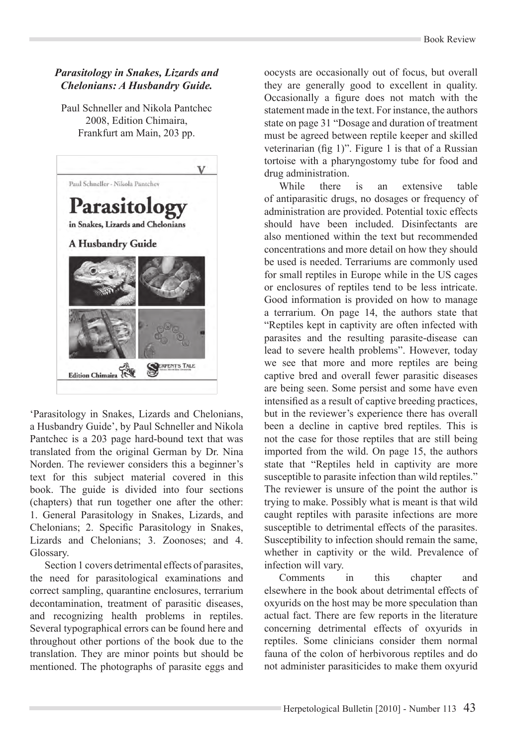# *Parasitology in Snakes, Lizards and Chelonians: A Husbandry Guide.*

Paul Schneller and Nikola Pantchec 2008, Edition Chimaira, Frankfurt am Main, 203 pp.



'Parasitology in Snakes, Lizards and Chelonians, a Husbandry Guide', by Paul Schneller and Nikola Pantchec is a 203 page hard-bound text that was translated from the original German by Dr. Nina Norden. The reviewer considers this a beginner's text for this subject material covered in this book. The guide is divided into four sections (chapters) that run together one after the other: 1. General Parasitology in Snakes, Lizards, and Chelonians; 2. Specific Parasitology in Snakes, Lizards and Chelonians; 3. Zoonoses; and 4. Glossary.

Section 1 covers detrimental effects of parasites, the need for parasitological examinations and correct sampling, quarantine enclosures, terrarium decontamination, treatment of parasitic diseases, and recognizing health problems in reptiles. Several typographical errors can be found here and throughout other portions of the book due to the translation. They are minor points but should be mentioned. The photographs of parasite eggs and

oocysts are occasionally out of focus, but overall they are generally good to excellent in quality. Occasionally a figure does not match with the statement made in the text. For instance, the authors state on page 31 "Dosage and duration of treatment must be agreed between reptile keeper and skilled veterinarian (fig 1)". Figure 1 is that of a Russian tortoise with a pharyngostomy tube for food and drug administration.

While there is an extensive table of antiparasitic drugs, no dosages or frequency of administration are provided. Potential toxic effects should have been included. Disinfectants are also mentioned within the text but recommended concentrations and more detail on how they should be used is needed. Terrariums are commonly used for small reptiles in Europe while in the US cages or enclosures of reptiles tend to be less intricate. Good information is provided on how to manage a terrarium. On page 14, the authors state that "Reptiles kept in captivity are often infected with parasites and the resulting parasite-disease can lead to severe health problems". However, today we see that more and more reptiles are being captive bred and overall fewer parasitic diseases are being seen. Some persist and some have even intensified as a result of captive breeding practices, but in the reviewer's experience there has overall been a decline in captive bred reptiles. This is not the case for those reptiles that are still being imported from the wild. On page 15, the authors state that "Reptiles held in captivity are more susceptible to parasite infection than wild reptiles." The reviewer is unsure of the point the author is trying to make. Possibly what is meant is that wild caught reptiles with parasite infections are more susceptible to detrimental effects of the parasites. Susceptibility to infection should remain the same. whether in captivity or the wild. Prevalence of infection will vary.

Comments in this chapter and elsewhere in the book about detrimental effects of oxyurids on the host may be more speculation than actual fact. There are few reports in the literature concerning detrimental effects of oxyurids in reptiles. Some clinicians consider them normal fauna of the colon of herbivorous reptiles and do not administer parasiticides to make them oxyurid